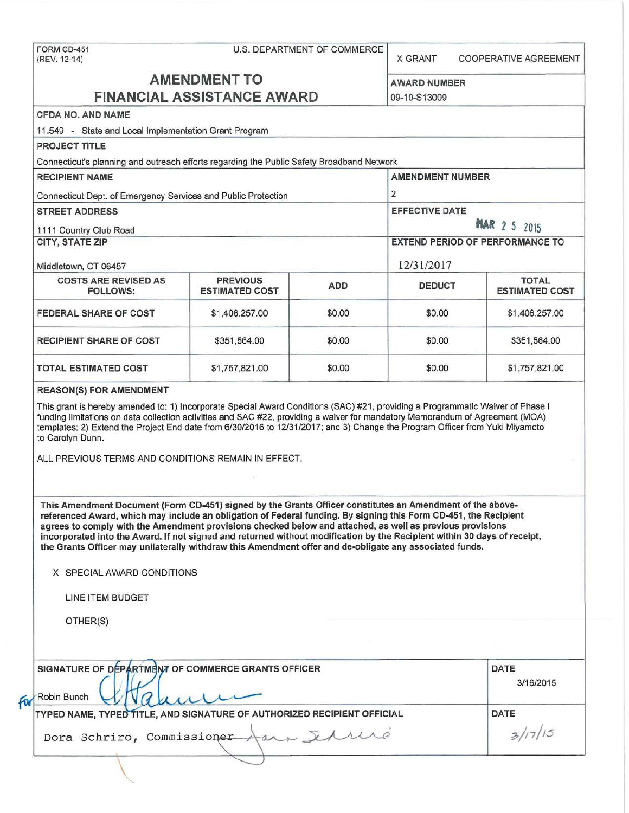FORM CD-451 U.S. DEPARTMENT OF COMMERCE (REV. 12-14) X GRANT COOPERATIVE AGREEMENT **AMENDMENT TO** AWARD NUMBER **FINANCIAL ASSISTANCE AWARD** 09-10-S13009 CFDA NO. AND NAME 11 .549 - State and Local Implementation Grant Program PROJECT TITLE Connecticut's planning and outreach efforts regarding the Public Safety Broadband Network RECIPIENT NAME AMENDMENT NUMBER Connecticut Dept. of Emergency Services and Public Protection 2 STREET ADDRESS EFFECTIVE DATE: 1111 Country Club Road **the Club Road time is a set of the Club Annual Country Club Road time is a set of the Club** CITY, STATE ZIP EXTEND PERIOD OF PERFORMANCE TO A REAL PROPERIOD OF PERFORMANCE TO A REAL PROPERIOD OF PERFORMANCE TO Middletown, CT 06457 12/31/2017 COSTS ARE REVISED AS PREVIOUS ADD DEDUCT FOLLOWS: FOLLOWS: **ESTIMATED COST** FEDERAL SHARE OF COST  $$1,406,257.00$   $$0.00$   $$0.00$   $$1,406,257.00$ RECIPIENT SHARE OF COST  $$351,564.00$   $$0.00$   $$351,564.00$  \$351,564.00 TOTAL ESTIMATED COST  $$1,757,821.00$   $$0.00$   $$0.00$  \$0.00 \$1,757,821.00 REASON(S) FOR AMENDMENT This grant is hereby amended to: 1) Incorporate Special Award Conditions (SAC) #21, providing a Programmatic Waiver of Phase I funding limitations on data collection activities and SAC #22, providing a waiver for mandatory Memorandum of Agreement (MOA) templates; 2) Extend the Project End date from 6/30/2016 to 12/31/2017; and 3) Change the Program Officer from Yuki Miyamoto to Carolyn Dunn. ALL PREVIOUS TERMS AND CONDITIONS REMAIN IN EFFECT. This Amendment Document (Form CD-451) signed by the Grants Officer constitutes an Amendment of the abovereferenced Award, which may include an obligation of Federal funding. By signing this Form CD-451, the Recipient agrees to comply with the Amendment provisions checked below and attached, as well as previous provisions incorporated into the Award. If not signed and returned without modification by the Recipient within 30 days of receipt, the Grants Officer may unilaterally withdraw this Amendment offer and de-obligate any associated funds. X SPECIAL AWARD CONDITIONS LINE ITEM BUDGET OTHER(S) SIGNATURE OF DÉPARTMENT OF COMMERCE GRANTS OFFICER DATE IN THE STATE OF DATE Robin Bunch  $Q/d$ FOR Robin Bunch WWA MARE OF AUTHORIZED RECIPIENT OFFICIAL DATE ENCE GRAIN'S OFFICER<br>
URE OF AUTHORIZED RECIPIENT OFFICIAL<br>
PET AA & JAMMO

Dora Schriro, Commissioner

 $\overline{a}$